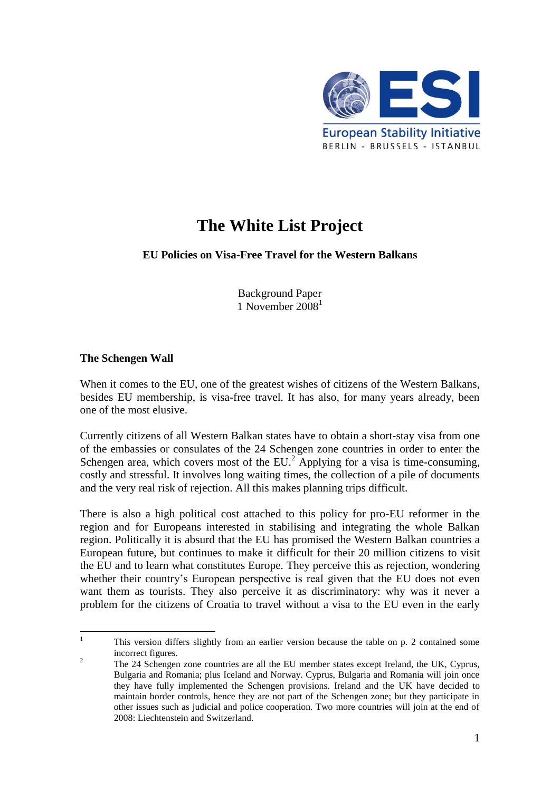

# **The White List Project**

## **EU Policies on Visa-Free Travel for the Western Balkans**

Background Paper 1 November  $2008<sup>1</sup>$ 

#### **The Schengen Wall**

When it comes to the EU, one of the greatest wishes of citizens of the Western Balkans, besides EU membership, is visa-free travel. It has also, for many years already, been one of the most elusive.

Currently citizens of all Western Balkan states have to obtain a short-stay visa from one of the embassies or consulates of the 24 Schengen zone countries in order to enter the Schengen area, which covers most of the EU.<sup>2</sup> Applying for a visa is time-consuming, costly and stressful. It involves long waiting times, the collection of a pile of documents and the very real risk of rejection. All this makes planning trips difficult.

There is also a high political cost attached to this policy for pro-EU reformer in the region and for Europeans interested in stabilising and integrating the whole Balkan region. Politically it is absurd that the EU has promised the Western Balkan countries a European future, but continues to make it difficult for their 20 million citizens to visit the EU and to learn what constitutes Europe. They perceive this as rejection, wondering whether their country's European perspective is real given that the EU does not even want them as tourists. They also perceive it as discriminatory: why was it never a problem for the citizens of Croatia to travel without a visa to the EU even in the early

 $\mathbf{1}$ <sup>1</sup> This version differs slightly from an earlier version because the table on p. 2 contained some incorrect figures.

<sup>&</sup>lt;sup>2</sup> The 24 Schengen zone countries are all the EU member states except Ireland, the UK, Cyprus, Bulgaria and Romania; plus Iceland and Norway. Cyprus, Bulgaria and Romania will join once they have fully implemented the Schengen provisions. Ireland and the UK have decided to maintain border controls, hence they are not part of the Schengen zone; but they participate in other issues such as judicial and police cooperation. Two more countries will join at the end of 2008: Liechtenstein and Switzerland.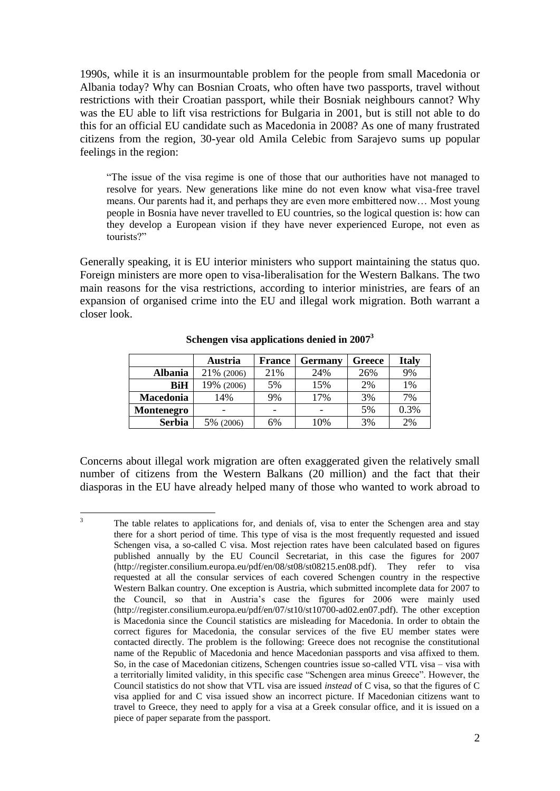1990s, while it is an insurmountable problem for the people from small Macedonia or Albania today? Why can Bosnian Croats, who often have two passports, travel without restrictions with their Croatian passport, while their Bosniak neighbours cannot? Why was the EU able to lift visa restrictions for Bulgaria in 2001, but is still not able to do this for an official EU candidate such as Macedonia in 2008? As one of many frustrated citizens from the region, 30-year old Amila Celebic from Sarajevo sums up popular feelings in the region:

―The issue of the visa regime is one of those that our authorities have not managed to resolve for years. New generations like mine do not even know what visa-free travel means. Our parents had it, and perhaps they are even more embittered now… Most young people in Bosnia have never travelled to EU countries, so the logical question is: how can they develop a European vision if they have never experienced Europe, not even as tourists?"

Generally speaking, it is EU interior ministers who support maintaining the status quo. Foreign ministers are more open to visa-liberalisation for the Western Balkans. The two main reasons for the visa restrictions, according to interior ministries, are fears of an expansion of organised crime into the EU and illegal work migration. Both warrant a closer look.

|               | Austria    | <b>France</b>            | <b>Germany</b> | Greece | <b>Italy</b> |
|---------------|------------|--------------------------|----------------|--------|--------------|
| Albania       | 21% (2006) | 21%                      | 24%            | 26%    | 9%           |
| BiH           | 19% (2006) | 5%                       | 15%            | 2%     | $1\%$        |
| Macedonia     | 14%        | 9%                       | 17%            | 3%     | 7%           |
| Montenegro    |            | $\overline{\phantom{a}}$ |                | 5%     | 0.3%         |
| <b>Serbia</b> | 5% (2006)  | 6%                       | 10%            | 3%     | 2%           |

**Schengen visa applications denied in 2007<sup>3</sup>**

Concerns about illegal work migration are often exaggerated given the relatively small number of citizens from the Western Balkans (20 million) and the fact that their diasporas in the EU have already helped many of those who wanted to work abroad to

 $\overline{3}$ The table relates to applications for, and denials of, visa to enter the Schengen area and stay there for a short period of time. This type of visa is the most frequently requested and issued Schengen visa, a so-called C visa. Most rejection rates have been calculated based on figures published annually by the EU Council Secretariat, in this case the figures for 2007 (http://register.consilium.europa.eu/pdf/en/08/st08/st08215.en08.pdf). They refer to visa requested at all the consular services of each covered Schengen country in the respective Western Balkan country. One exception is Austria, which submitted incomplete data for 2007 to the Council, so that in Austria's case the figures for 2006 were mainly used (http://register.consilium.europa.eu/pdf/en/07/st10/st10700-ad02.en07.pdf). The other exception is Macedonia since the Council statistics are misleading for Macedonia. In order to obtain the correct figures for Macedonia, the consular services of the five EU member states were contacted directly. The problem is the following: Greece does not recognise the constitutional name of the Republic of Macedonia and hence Macedonian passports and visa affixed to them. So, in the case of Macedonian citizens, Schengen countries issue so-called VTL visa – visa with a territorially limited validity, in this specific case "Schengen area minus Greece". However, the Council statistics do not show that VTL visa are issued *instead* of C visa, so that the figures of C visa applied for and C visa issued show an incorrect picture. If Macedonian citizens want to travel to Greece, they need to apply for a visa at a Greek consular office, and it is issued on a piece of paper separate from the passport.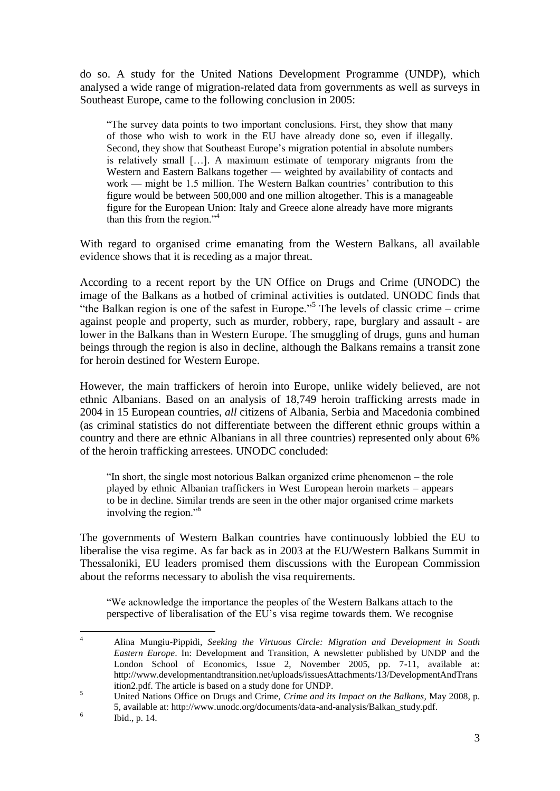do so. A study for the United Nations Development Programme (UNDP), which analysed a wide range of migration-related data from governments as well as surveys in Southeast Europe, came to the following conclusion in 2005:

―The survey data points to two important conclusions. First, they show that many of those who wish to work in the EU have already done so, even if illegally. Second, they show that Southeast Europe's migration potential in absolute numbers is relatively small […]. A maximum estimate of temporary migrants from the Western and Eastern Balkans together — weighted by availability of contacts and work — might be 1.5 million. The Western Balkan countries' contribution to this figure would be between 500,000 and one million altogether. This is a manageable figure for the European Union: Italy and Greece alone already have more migrants than this from the region. $14$ 

With regard to organised crime emanating from the Western Balkans, all available evidence shows that it is receding as a major threat.

According to a recent report by the UN Office on Drugs and Crime (UNODC) the image of the Balkans as a hotbed of criminal activities is outdated. UNODC finds that "the Balkan region is one of the safest in Europe."<sup>5</sup> The levels of classic crime – crime against people and property, such as murder, robbery, rape, burglary and assault - are lower in the Balkans than in Western Europe. The smuggling of drugs, guns and human beings through the region is also in decline, although the Balkans remains a transit zone for heroin destined for Western Europe.

However, the main traffickers of heroin into Europe, unlike widely believed, are not ethnic Albanians. Based on an analysis of 18,749 heroin trafficking arrests made in 2004 in 15 European countries, *all* citizens of Albania, Serbia and Macedonia combined (as criminal statistics do not differentiate between the different ethnic groups within a country and there are ethnic Albanians in all three countries) represented only about 6% of the heroin trafficking arrestees. UNODC concluded:

"In short, the single most notorious Balkan organized crime phenomenon – the role played by ethnic Albanian traffickers in West European heroin markets – appears to be in decline. Similar trends are seen in the other major organised crime markets involving the region. $^{56}$ 

The governments of Western Balkan countries have continuously lobbied the EU to liberalise the visa regime. As far back as in 2003 at the EU/Western Balkans Summit in Thessaloniki, EU leaders promised them discussions with the European Commission about the reforms necessary to abolish the visa requirements.

―We acknowledge the importance the peoples of the Western Balkans attach to the perspective of liberalisation of the  $EU$ 's visa regime towards them. We recognise

 $\overline{A}$ <sup>4</sup> Alina Mungiu-Pippidi, *Seeking the Virtuous Circle: Migration and Development in South Eastern Europe*. In: Development and Transition, A newsletter published by UNDP and the London School of Economics, Issue 2, November 2005, pp. 7-11, available at: http://www.developmentandtransition.net/uploads/issuesAttachments/13/DevelopmentAndTrans ition2.pdf. The article is based on a study done for UNDP.

<sup>5</sup> United Nations Office on Drugs and Crime, *Crime and its Impact on the Balkans,* May 2008, p. 5, available at: http://www.unodc.org/documents/data-and-analysis/Balkan\_study.pdf.

<sup>6</sup> Ibid., p. 14.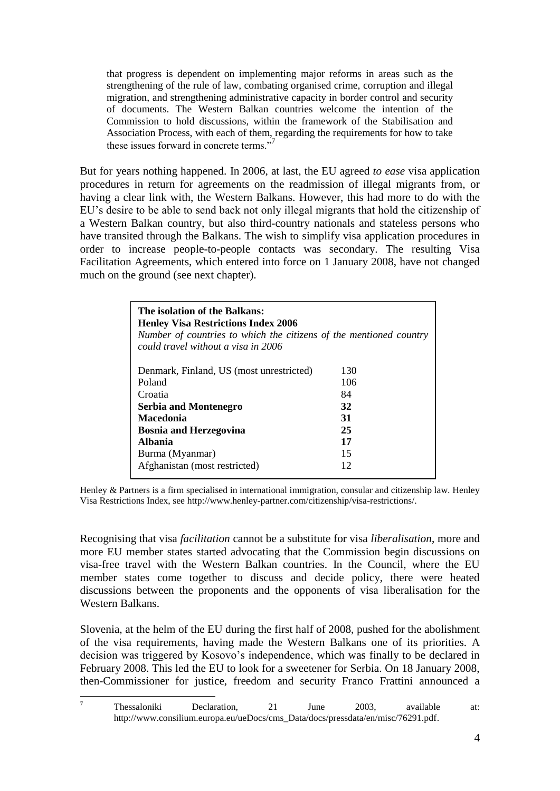that progress is dependent on implementing major reforms in areas such as the strengthening of the rule of law, combating organised crime, corruption and illegal migration, and strengthening administrative capacity in border control and security of documents. The Western Balkan countries welcome the intention of the Commission to hold discussions, within the framework of the Stabilisation and Association Process, with each of them, regarding the requirements for how to take these issues forward in concrete terms."<sup>7</sup>

But for years nothing happened. In 2006, at last, the EU agreed *to ease* visa application procedures in return for agreements on the readmission of illegal migrants from, or having a clear link with, the Western Balkans. However, this had more to do with the EU's desire to be able to send back not only illegal migrants that hold the citizenship of a Western Balkan country, but also third-country nationals and stateless persons who have transited through the Balkans. The wish to simplify visa application procedures in order to increase people-to-people contacts was secondary. The resulting Visa Facilitation Agreements, which entered into force on 1 January 2008, have not changed much on the ground (see next chapter).

| The isolation of the Balkans:<br><b>Henley Visa Restrictions Index 2006</b><br>Number of countries to which the citizens of the mentioned country<br>could travel without a visa in 2006 |     |  |  |  |
|------------------------------------------------------------------------------------------------------------------------------------------------------------------------------------------|-----|--|--|--|
| Denmark, Finland, US (most unrestricted)                                                                                                                                                 | 130 |  |  |  |
| Poland                                                                                                                                                                                   | 106 |  |  |  |
| Croatia                                                                                                                                                                                  | 84  |  |  |  |
| <b>Serbia and Montenegro</b>                                                                                                                                                             | 32  |  |  |  |
| Macedonia                                                                                                                                                                                | 31  |  |  |  |
| <b>Bosnia and Herzegovina</b>                                                                                                                                                            | 25  |  |  |  |
| <b>Albania</b>                                                                                                                                                                           | 17  |  |  |  |
| Burma (Myanmar)                                                                                                                                                                          | 15  |  |  |  |
| Afghanistan (most restricted)                                                                                                                                                            | 12  |  |  |  |

Henley & Partners is a firm specialised in international immigration, consular and citizenship law. Henley Visa Restrictions Index, see http://www.henley-partner.com/citizenship/visa-restrictions/.

Recognising that visa *facilitation* cannot be a substitute for visa *liberalisation*, more and more EU member states started advocating that the Commission begin discussions on visa-free travel with the Western Balkan countries. In the Council, where the EU member states come together to discuss and decide policy, there were heated discussions between the proponents and the opponents of visa liberalisation for the Western Balkans.

Slovenia, at the helm of the EU during the first half of 2008, pushed for the abolishment of the visa requirements, having made the Western Balkans one of its priorities. A decision was triggered by Kosovo's independence, which was finally to be declared in February 2008. This led the EU to look for a sweetener for Serbia. On 18 January 2008, then-Commissioner for justice, freedom and security Franco Frattini announced a

 $\overline{7}$ <sup>7</sup> Thessaloniki Declaration, 21 June 2003, available at: http://www.consilium.europa.eu/ueDocs/cms\_Data/docs/pressdata/en/misc/76291.pdf.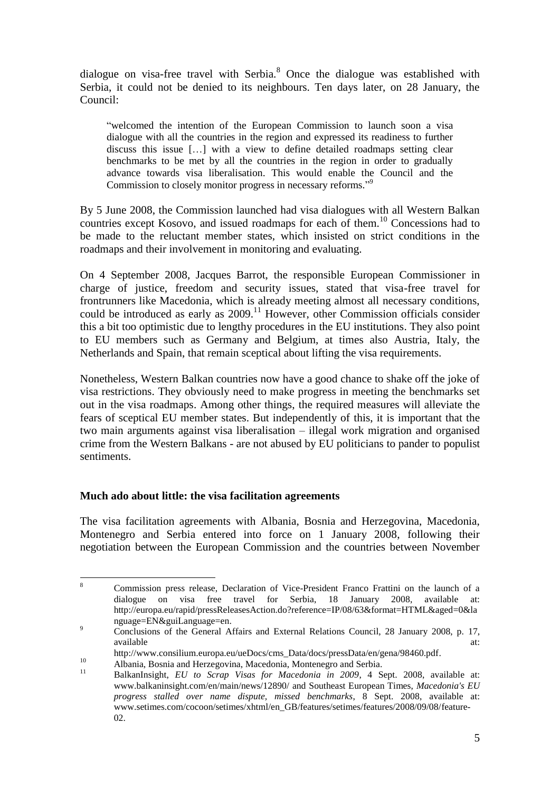dialogue on visa-free travel with Serbia. $8$  Once the dialogue was established with Serbia, it could not be denied to its neighbours. Ten days later, on 28 January, the Council:

―welcomed the intention of the European Commission to launch soon a visa dialogue with all the countries in the region and expressed its readiness to further discuss this issue […] with a view to define detailed roadmaps setting clear benchmarks to be met by all the countries in the region in order to gradually advance towards visa liberalisation. This would enable the Council and the Commission to closely monitor progress in necessary reforms."<sup>9</sup>

By 5 June 2008, the Commission launched had visa dialogues with all Western Balkan countries except Kosovo, and issued roadmaps for each of them.<sup>10</sup> Concessions had to be made to the reluctant member states, which insisted on strict conditions in the roadmaps and their involvement in monitoring and evaluating.

On 4 September 2008, Jacques Barrot, the responsible European Commissioner in charge of justice, freedom and security issues, stated that visa-free travel for frontrunners like Macedonia, which is already meeting almost all necessary conditions, could be introduced as early as  $2009$ .<sup>11</sup> However, other Commission officials consider this a bit too optimistic due to lengthy procedures in the EU institutions. They also point to EU members such as Germany and Belgium, at times also Austria, Italy, the Netherlands and Spain, that remain sceptical about lifting the visa requirements.

Nonetheless, Western Balkan countries now have a good chance to shake off the joke of visa restrictions. They obviously need to make progress in meeting the benchmarks set out in the visa roadmaps. Among other things, the required measures will alleviate the fears of sceptical EU member states. But independently of this, it is important that the two main arguments against visa liberalisation – illegal work migration and organised crime from the Western Balkans - are not abused by EU politicians to pander to populist sentiments.

## **Much ado about little: the visa facilitation agreements**

The visa facilitation agreements with Albania, Bosnia and Herzegovina, Macedonia, Montenegro and Serbia entered into force on 1 January 2008, following their negotiation between the European Commission and the countries between November

<sup>8</sup> <sup>8</sup> Commission press release, Declaration of Vice-President Franco Frattini on the launch of a dialogue on visa free travel for Serbia, 18 January 2008, available at: http://europa.eu/rapid/pressReleasesAction.do?reference=IP/08/63&format=HTML&aged=0&la nguage=EN&guiLanguage=en.

<sup>9</sup> Conclusions of the General Affairs and External Relations Council, 28 January 2008, p. 17, available at: and a state at a state at  $\alpha$  and  $\alpha$  at  $\alpha$  and  $\alpha$  at  $\alpha$ .

http://www.consilium.europa.eu/ueDocs/cms\_Data/docs/pressData/en/gena/98460.pdf.

<sup>10</sup> Albania, Bosnia and Herzegovina, Macedonia, Montenegro and Serbia.

<sup>11</sup> BalkanInsight, *EU to Scrap Visas for Macedonia in 2009*, 4 Sept. 2008, available at: www.balkaninsight.com/en/main/news/12890/ and Southeast European Times, *Macedonia's EU progress stalled over name dispute, missed benchmarks*, 8 Sept. 2008, available at: www.setimes.com/cocoon/setimes/xhtml/en\_GB/features/setimes/features/2008/09/08/feature-02.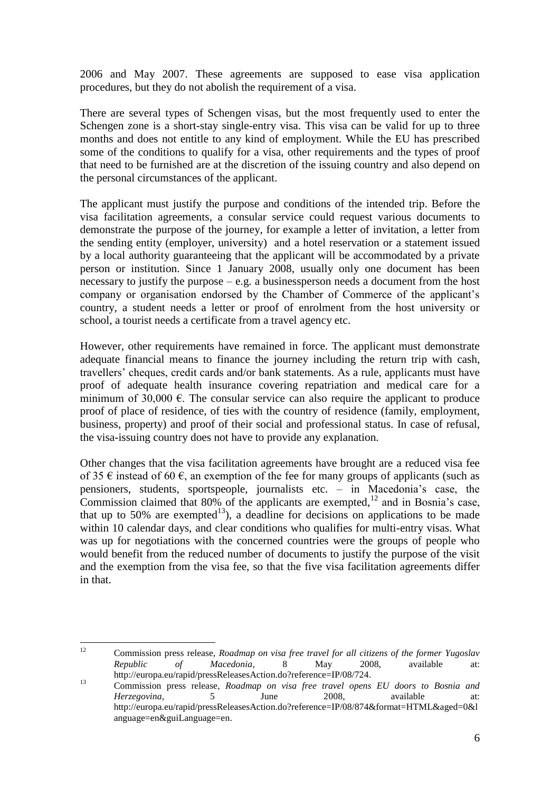2006 and May 2007. These agreements are supposed to ease visa application procedures, but they do not abolish the requirement of a visa.

There are several types of Schengen visas, but the most frequently used to enter the Schengen zone is a short-stay single-entry visa. This visa can be valid for up to three months and does not entitle to any kind of employment. While the EU has prescribed some of the conditions to qualify for a visa, other requirements and the types of proof that need to be furnished are at the discretion of the issuing country and also depend on the personal circumstances of the applicant.

The applicant must justify the purpose and conditions of the intended trip. Before the visa facilitation agreements, a consular service could request various documents to demonstrate the purpose of the journey, for example a letter of invitation, a letter from the sending entity (employer, university) and a hotel reservation or a statement issued by a local authority guaranteeing that the applicant will be accommodated by a private person or institution. Since 1 January 2008, usually only one document has been necessary to justify the purpose  $-e.g.$  a businessperson needs a document from the host company or organisation endorsed by the Chamber of Commerce of the applicant's country, a student needs a letter or proof of enrolment from the host university or school, a tourist needs a certificate from a travel agency etc.

However, other requirements have remained in force. The applicant must demonstrate adequate financial means to finance the journey including the return trip with cash, travellers' cheques, credit cards and/or bank statements. As a rule, applicants must have proof of adequate health insurance covering repatriation and medical care for a minimum of 30,000  $\epsilon$ . The consular service can also require the applicant to produce proof of place of residence, of ties with the country of residence (family, employment, business, property) and proof of their social and professional status. In case of refusal, the visa-issuing country does not have to provide any explanation.

Other changes that the visa facilitation agreements have brought are a reduced visa fee of 35  $\epsilon$  instead of 60  $\epsilon$ , an exemption of the fee for many groups of applicants (such as pensioners, students, sportspeople, journalists etc. – in Macedonia's case, the Commission claimed that 80% of the applicants are exempted,<sup>12</sup> and in Bosnia's case, that up to 50% are exempted<sup>13</sup>), a deadline for decisions on applications to be made within 10 calendar days, and clear conditions who qualifies for multi-entry visas. What was up for negotiations with the concerned countries were the groups of people who would benefit from the reduced number of documents to justify the purpose of the visit and the exemption from the visa fee, so that the five visa facilitation agreements differ in that.

 $12<sup>°</sup>$ <sup>12</sup> Commission press release, *Roadmap on visa free travel for all citizens of the former Yugoslav Republic of Macedonia*, 8 May 2008, available at: http://europa.eu/rapid/pressReleasesAction.do?reference=IP/08/724.

<sup>13</sup> Commission press release, *Roadmap on visa free travel opens EU doors to Bosnia and Herzegovina,* 5 June 2008, available at: http://europa.eu/rapid/pressReleasesAction.do?reference=IP/08/874&format=HTML&aged=0&l anguage=en&guiLanguage=en.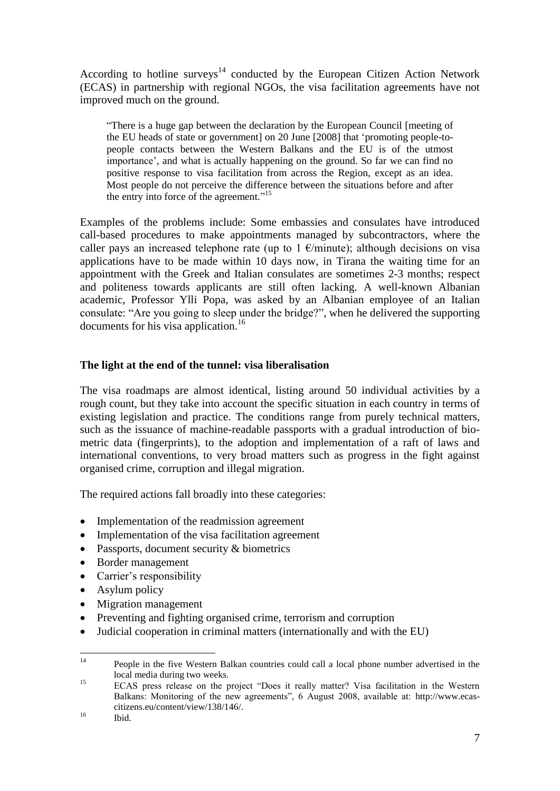According to hotline surveys<sup>14</sup> conducted by the European Citizen Action Network (ECAS) in partnership with regional NGOs, the visa facilitation agreements have not improved much on the ground.

―There is a huge gap between the declaration by the European Council [meeting of the EU heads of state or government] on 20 June [2008] that ‗promoting people-topeople contacts between the Western Balkans and the EU is of the utmost importance', and what is actually happening on the ground. So far we can find no positive response to visa facilitation from across the Region, except as an idea. Most people do not perceive the difference between the situations before and after the entry into force of the agreement."<sup>15</sup>

Examples of the problems include: Some embassies and consulates have introduced call-based procedures to make appointments managed by subcontractors, where the caller pays an increased telephone rate (up to 1  $\epsilon$ /minute); although decisions on visa applications have to be made within 10 days now, in Tirana the waiting time for an appointment with the Greek and Italian consulates are sometimes 2-3 months; respect and politeness towards applicants are still often lacking. A well-known Albanian academic, Professor Ylli Popa, was asked by an Albanian employee of an Italian consulate: "Are you going to sleep under the bridge?", when he delivered the supporting documents for his visa application.<sup>16</sup>

## **The light at the end of the tunnel: visa liberalisation**

The visa roadmaps are almost identical, listing around 50 individual activities by a rough count, but they take into account the specific situation in each country in terms of existing legislation and practice. The conditions range from purely technical matters, such as the issuance of machine-readable passports with a gradual introduction of biometric data (fingerprints), to the adoption and implementation of a raft of laws and international conventions, to very broad matters such as progress in the fight against organised crime, corruption and illegal migration.

The required actions fall broadly into these categories:

- Implementation of the readmission agreement
- Implementation of the visa facilitation agreement
- Passports, document security & biometrics
- Border management
- Carrier's responsibility
- Asylum policy
- Migration management
- Preventing and fighting organised crime, terrorism and corruption
- Judicial cooperation in criminal matters (internationally and with the EU)

 $14$ <sup>14</sup> People in the five Western Balkan countries could call a local phone number advertised in the local media during two weeks.

<sup>&</sup>lt;sup>15</sup> ECAS press release on the project "Does it really matter? Visa facilitation in the Western Balkans: Monitoring of the new agreements", 6 August 2008, available at: http://www.ecascitizens.eu/content/view/138/146/.

 $^{16}$  Ibid.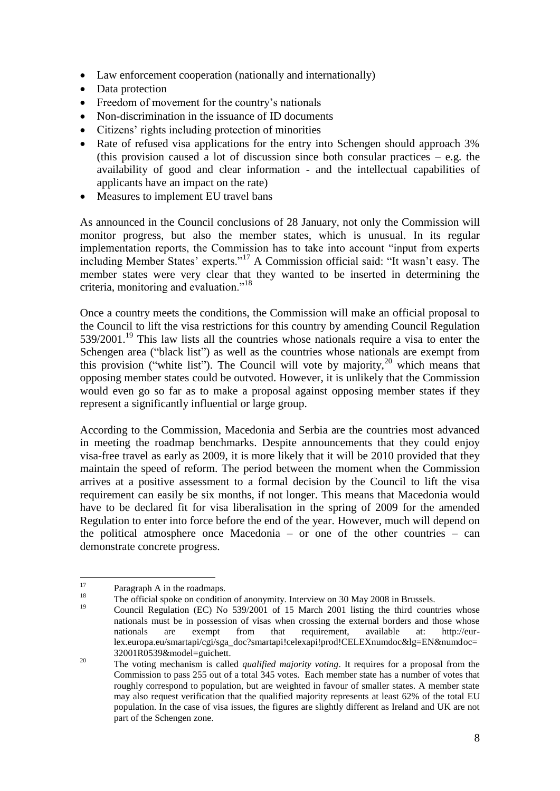- Law enforcement cooperation (nationally and internationally)
- Data protection
- Freedom of movement for the country's nationals
- Non-discrimination in the issuance of ID documents
- Citizens' rights including protection of minorities
- Rate of refused visa applications for the entry into Schengen should approach 3% (this provision caused a lot of discussion since both consular practices  $-$  e.g. the availability of good and clear information - and the intellectual capabilities of applicants have an impact on the rate)
- Measures to implement EU travel bans

As announced in the Council conclusions of 28 January, not only the Commission will monitor progress, but also the member states, which is unusual. In its regular implementation reports, the Commission has to take into account "input from experts including Member States' experts."<sup>17</sup> A Commission official said: "It wasn't easy. The member states were very clear that they wanted to be inserted in determining the criteria, monitoring and evaluation."<sup>18</sup>

Once a country meets the conditions, the Commission will make an official proposal to the Council to lift the visa restrictions for this country by amending Council Regulation  $539/2001$ .<sup>19</sup> This law lists all the countries whose nationals require a visa to enter the Schengen area ("black list") as well as the countries whose nationals are exempt from this provision ("white list"). The Council will vote by majority,  $20$  which means that opposing member states could be outvoted. However, it is unlikely that the Commission would even go so far as to make a proposal against opposing member states if they represent a significantly influential or large group.

According to the Commission, Macedonia and Serbia are the countries most advanced in meeting the roadmap benchmarks. Despite announcements that they could enjoy visa-free travel as early as 2009, it is more likely that it will be 2010 provided that they maintain the speed of reform. The period between the moment when the Commission arrives at a positive assessment to a formal decision by the Council to lift the visa requirement can easily be six months, if not longer. This means that Macedonia would have to be declared fit for visa liberalisation in the spring of 2009 for the amended Regulation to enter into force before the end of the year. However, much will depend on the political atmosphere once Macedonia – or one of the other countries – can demonstrate concrete progress.

<sup>17</sup>  $17 \t\t Paragraph A in the roadmaps.$ 

<sup>&</sup>lt;sup>18</sup> The official spoke on condition of anonymity. Interview on 30 May 2008 in Brussels.

Council Regulation (EC) No 539/2001 of 15 March 2001 listing the third countries whose nationals must be in possession of visas when crossing the external borders and those whose nationals are exempt from that requirement, available at: http://eurlex.europa.eu/smartapi/cgi/sga\_doc?smartapi!celexapi!prod!CELEXnumdoc&lg=EN&numdoc= 32001R0539&model=guichett.

<sup>&</sup>lt;sup>20</sup> The voting mechanism is called *qualified majority voting*. It requires for a proposal from the Commission to pass 255 out of a total 345 votes. Each member state has a number of votes that roughly correspond to population, but are weighted in favour of smaller states. A member state may also request verification that the qualified majority represents at least 62% of the total EU population. In the case of visa issues, the figures are slightly different as Ireland and UK are not part of the Schengen zone.